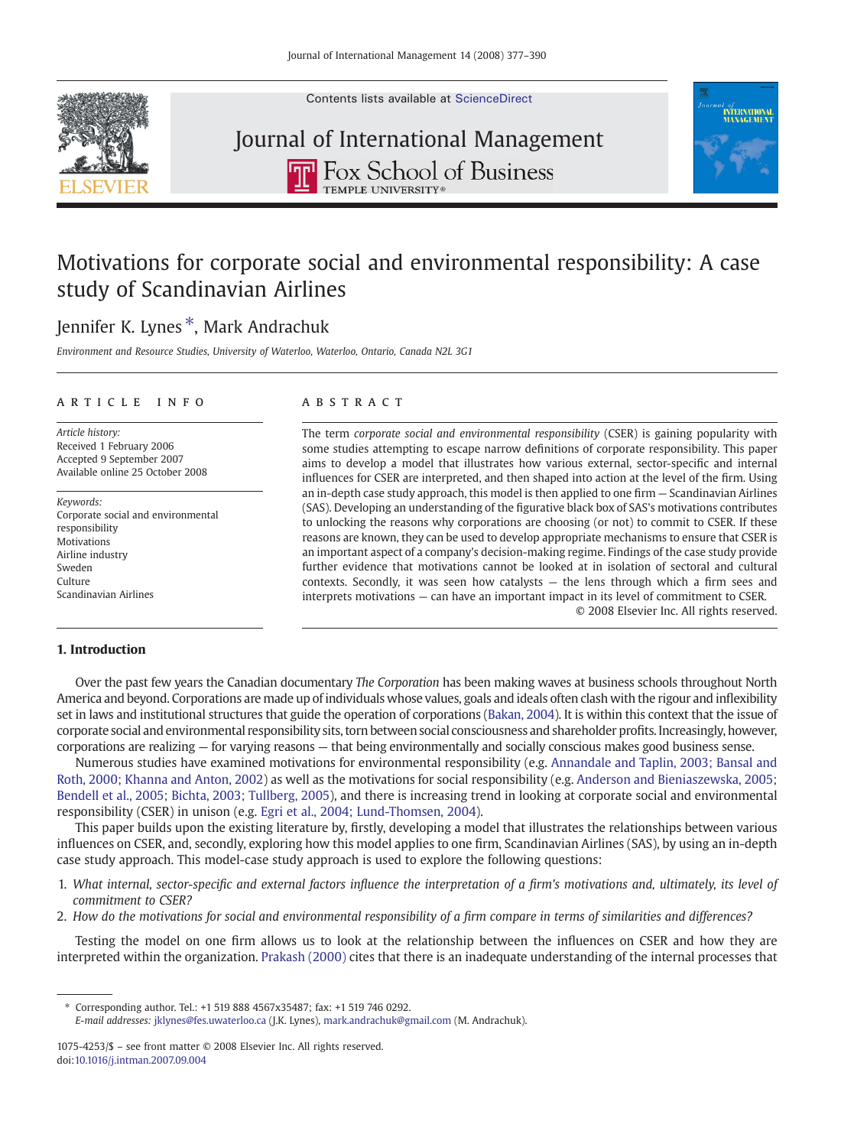Contents lists available at [ScienceDirect](http://www.sciencedirect.com/science/journal/10754253)



# Journal of International ManagementTHE FOX School of Business



### Motivations for corporate social and environmental responsibility: A case study of Scandinavian Airlines

### Jennifer K. Lynes ⁎, Mark Andrachuk

Environment and Resource Studies, University of Waterloo, Waterloo, Ontario, Canada N2L 3G1

#### article info abstract

Article history: Received 1 February 2006 Accepted 9 September 2007 Available online 25 October 2008

Keywords: Corporate social and environmental responsibility Motivations Airline industry Sweden Culture Scandinavian Airlines

The term corporate social and environmental responsibility (CSER) is gaining popularity with some studies attempting to escape narrow definitions of corporate responsibility. This paper aims to develop a model that illustrates how various external, sector-specific and internal influences for CSER are interpreted, and then shaped into action at the level of the firm. Using an in-depth case study approach, this model is then applied to one firm — Scandinavian Airlines (SAS). Developing an understanding of the figurative black box of SAS's motivations contributes to unlocking the reasons why corporations are choosing (or not) to commit to CSER. If these reasons are known, they can be used to develop appropriate mechanisms to ensure that CSER is an important aspect of a company's decision-making regime. Findings of the case study provide further evidence that motivations cannot be looked at in isolation of sectoral and cultural contexts. Secondly, it was seen how catalysts — the lens through which a firm sees and interprets motivations — can have an important impact in its level of commitment to CSER. © 2008 Elsevier Inc. All rights reserved.

#### 1. Introduction

Over the past few years the Canadian documentary The Corporation has been making waves at business schools throughout North America and beyond. Corporations are made up of individuals whose values, goals and ideals often clash with the rigour and inflexibility set in laws and institutional structures that guide the operation of corporations ([Bakan, 2004\)](#page--1-0). It is within this context that the issue of corporate social and environmental responsibility sits, torn between social consciousness and shareholder profits. Increasingly, however, corporations are realizing — for varying reasons — that being environmentally and socially conscious makes good business sense.

Numerous studies have examined motivations for environmental responsibility (e.g. [Annandale and Taplin, 2003; Bansal and](#page--1-0) [Roth, 2000; Khanna and Anton, 2002](#page--1-0)) as well as the motivations for social responsibility (e.g. [Anderson and Bieniaszewska, 2005;](#page--1-0) [Bendell et al., 2005; Bichta, 2003; Tullberg, 2005](#page--1-0)), and there is increasing trend in looking at corporate social and environmental responsibility (CSER) in unison (e.g. [Egri et al., 2004; Lund-Thomsen, 2004](#page--1-0)).

This paper builds upon the existing literature by, firstly, developing a model that illustrates the relationships between various influences on CSER, and, secondly, exploring how this model applies to one firm, Scandinavian Airlines (SAS), by using an in-depth case study approach. This model-case study approach is used to explore the following questions:

- 1. What internal, sector-specific and external factors influence the interpretation of a firm's motivations and, ultimately, its level of commitment to CSER?
- 2. How do the motivations for social and environmental responsibility of a firm compare in terms of similarities and differences?

Testing the model on one firm allows us to look at the relationship between the influences on CSER and how they are interpreted within the organization. [Prakash \(2000\)](#page--1-0) cites that there is an inadequate understanding of the internal processes that

⁎ Corresponding author. Tel.: +1 519 888 4567x35487; fax: +1 519 746 0292.

E-mail addresses: [jklynes@fes.uwaterloo.ca](mailto:jklynes@fes.uwaterloo.ca) (J.K. Lynes), [mark.andrachuk@gmail.com](mailto:mark.andrachuk@gmail.com) (M. Andrachuk).

<sup>1075-4253/\$</sup> – see front matter © 2008 Elsevier Inc. All rights reserved. doi[:10.1016/j.intman.2007.09.004](http://dx.doi.org/10.1016/j.intman.2007.09.004)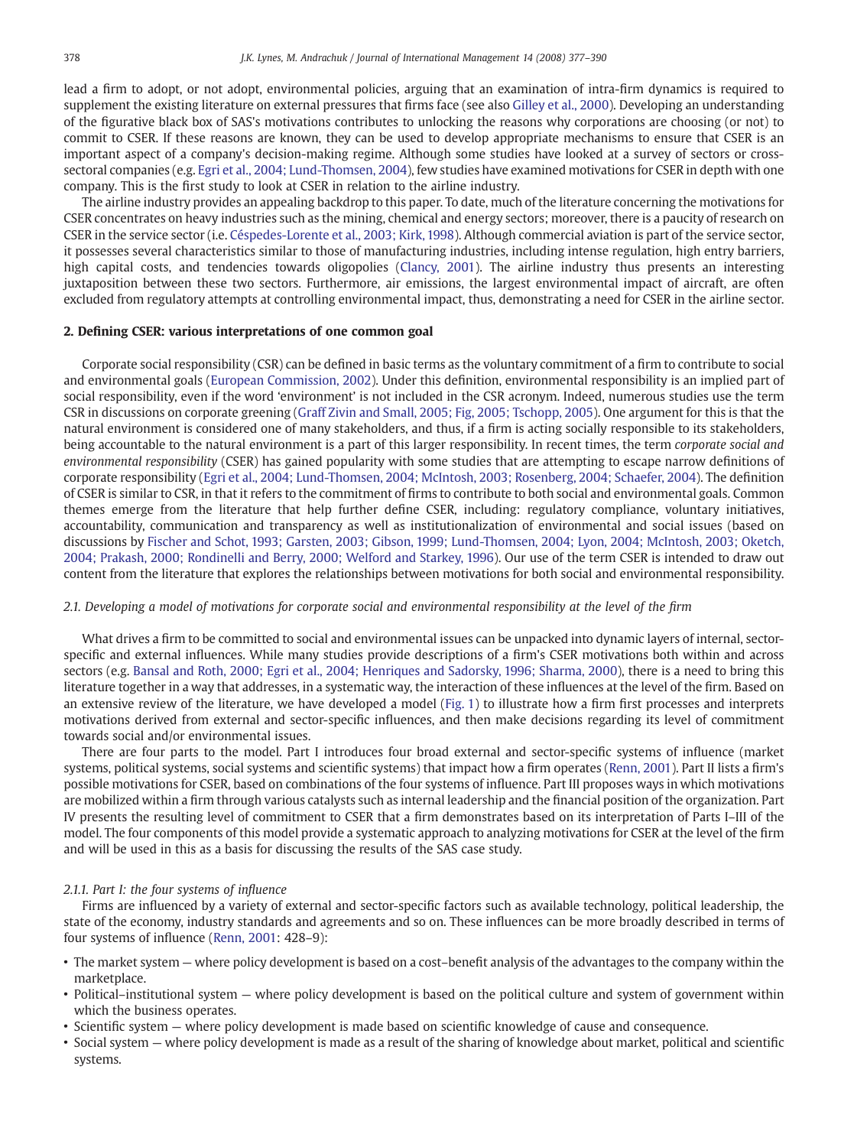lead a firm to adopt, or not adopt, environmental policies, arguing that an examination of intra-firm dynamics is required to supplement the existing literature on external pressures that firms face (see also [Gilley et al., 2000](#page--1-0)). Developing an understanding of the figurative black box of SAS's motivations contributes to unlocking the reasons why corporations are choosing (or not) to commit to CSER. If these reasons are known, they can be used to develop appropriate mechanisms to ensure that CSER is an important aspect of a company's decision-making regime. Although some studies have looked at a survey of sectors or crosssectoral companies (e.g. [Egri et al., 2004; Lund-Thomsen, 2004](#page--1-0)), few studies have examined motivations for CSER in depth with one company. This is the first study to look at CSER in relation to the airline industry.

The airline industry provides an appealing backdrop to this paper. To date, much of the literature concerning the motivations for CSER concentrates on heavy industries such as the mining, chemical and energy sectors; moreover, there is a paucity of research on CSER in the service sector (i.e. [Céspedes-Lorente et al., 2003; Kirk, 1998](#page--1-0)). Although commercial aviation is part of the service sector, it possesses several characteristics similar to those of manufacturing industries, including intense regulation, high entry barriers, high capital costs, and tendencies towards oligopolies [\(Clancy, 2001\)](#page--1-0). The airline industry thus presents an interesting juxtaposition between these two sectors. Furthermore, air emissions, the largest environmental impact of aircraft, are often excluded from regulatory attempts at controlling environmental impact, thus, demonstrating a need for CSER in the airline sector.

### 2. Defining CSER: various interpretations of one common goal

Corporate social responsibility (CSR) can be defined in basic terms as the voluntary commitment of a firm to contribute to social and environmental goals [\(European Commission, 2002](#page--1-0)). Under this definition, environmental responsibility is an implied part of social responsibility, even if the word 'environment' is not included in the CSR acronym. Indeed, numerous studies use the term CSR in discussions on corporate greening ([Graff Zivin and Small, 2005; Fig, 2005; Tschopp, 2005\)](#page--1-0). One argument for this is that the natural environment is considered one of many stakeholders, and thus, if a firm is acting socially responsible to its stakeholders, being accountable to the natural environment is a part of this larger responsibility. In recent times, the term corporate social and environmental responsibility (CSER) has gained popularity with some studies that are attempting to escape narrow definitions of corporate responsibility ([Egri et al., 2004; Lund-Thomsen, 2004; McIntosh, 2003; Rosenberg, 2004; Schaefer, 2004](#page--1-0)). The definition of CSER is similar to CSR, in that it refers to the commitment of firms to contribute to both social and environmental goals. Common themes emerge from the literature that help further define CSER, including: regulatory compliance, voluntary initiatives, accountability, communication and transparency as well as institutionalization of environmental and social issues (based on discussions by [Fischer and Schot, 1993; Garsten, 2003; Gibson, 1999; Lund-Thomsen, 2004; Lyon, 2004; McIntosh, 2003; Oketch,](#page--1-0) [2004; Prakash, 2000; Rondinelli and Berry, 2000; Welford and Starkey, 1996\)](#page--1-0). Our use of the term CSER is intended to draw out content from the literature that explores the relationships between motivations for both social and environmental responsibility.

#### 2.1. Developing a model of motivations for corporate social and environmental responsibility at the level of the firm

What drives a firm to be committed to social and environmental issues can be unpacked into dynamic layers of internal, sectorspecific and external influences. While many studies provide descriptions of a firm's CSER motivations both within and across sectors (e.g. [Bansal and Roth, 2000; Egri et al., 2004; Henriques and Sadorsky, 1996; Sharma, 2000\)](#page--1-0), there is a need to bring this literature together in a way that addresses, in a systematic way, the interaction of these influences at the level of the firm. Based on an extensive review of the literature, we have developed a model [\(Fig. 1](#page--1-0)) to illustrate how a firm first processes and interprets motivations derived from external and sector-specific influences, and then make decisions regarding its level of commitment towards social and/or environmental issues.

There are four parts to the model. Part I introduces four broad external and sector-specific systems of influence (market systems, political systems, social systems and scientific systems) that impact how a firm operates [\(Renn, 2001\)](#page--1-0). Part II lists a firm's possible motivations for CSER, based on combinations of the four systems of influence. Part III proposes ways in which motivations are mobilized within a firm through various catalysts such as internal leadership and the financial position of the organization. Part IV presents the resulting level of commitment to CSER that a firm demonstrates based on its interpretation of Parts I–III of the model. The four components of this model provide a systematic approach to analyzing motivations for CSER at the level of the firm and will be used in this as a basis for discussing the results of the SAS case study.

#### 2.1.1. Part I: the four systems of influence

Firms are influenced by a variety of external and sector-specific factors such as available technology, political leadership, the state of the economy, industry standards and agreements and so on. These influences can be more broadly described in terms of four systems of influence [\(Renn, 2001:](#page--1-0) 428–9):

- The market system where policy development is based on a cost–benefit analysis of the advantages to the company within the marketplace.
- Political–institutional system where policy development is based on the political culture and system of government within which the business operates.
- Scientific system where policy development is made based on scientific knowledge of cause and consequence.
- Social system where policy development is made as a result of the sharing of knowledge about market, political and scientific systems.